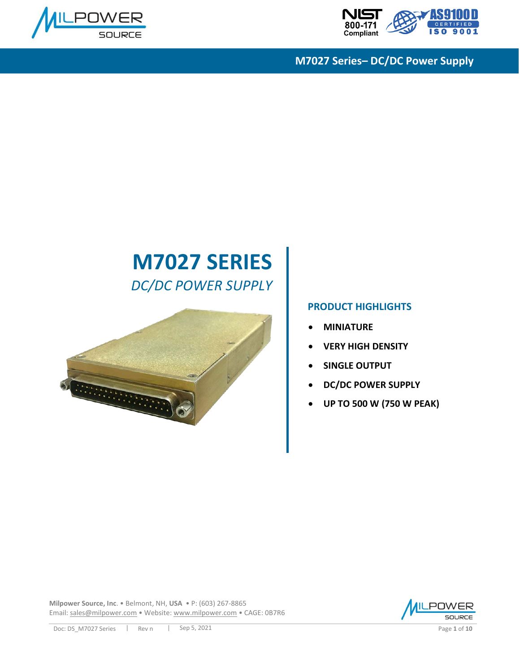



# **M7027 SERIES** *DC/DC POWER SUPPLY*



#### **PRODUCT HIGHLIGHTS**

- **MINIATURE**
- **VERY HIGH DENSITY**
- **SINGLE OUTPUT**
- **DC/DC POWER SUPPLY**
- **UP TO 500 W (750 W PEAK)**

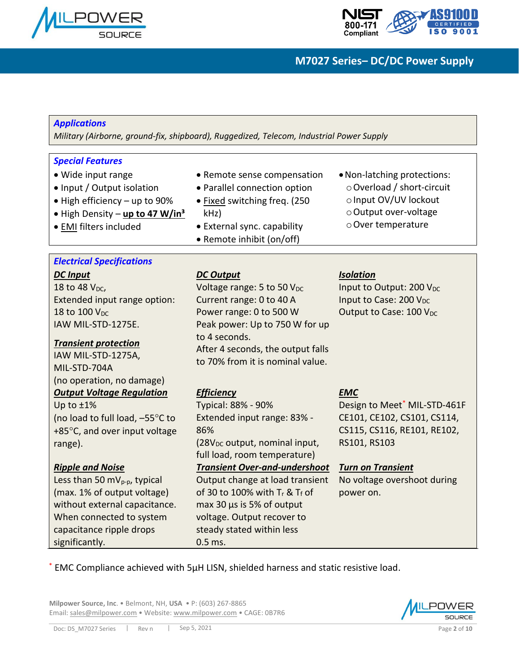



| <b>Applications</b><br>Military (Airborne, ground-fix, shipboard), Ruggedized, Telecom, Industrial Power Supply                                                                                                                                                                                                                                  |                                                                                                                                                                                                                                                                                                                                                                                         |                                                                                                                                                                                                              |  |  |  |  |  |
|--------------------------------------------------------------------------------------------------------------------------------------------------------------------------------------------------------------------------------------------------------------------------------------------------------------------------------------------------|-----------------------------------------------------------------------------------------------------------------------------------------------------------------------------------------------------------------------------------------------------------------------------------------------------------------------------------------------------------------------------------------|--------------------------------------------------------------------------------------------------------------------------------------------------------------------------------------------------------------|--|--|--|--|--|
| <b>Special Features</b><br>• Wide input range<br>• Input / Output isolation<br>• High efficiency - up to 90%<br>. High Density - up to 47 W/in <sup>3</sup><br>· EMI filters included                                                                                                                                                            | • Remote sense compensation<br>• Parallel connection option<br>· Fixed switching freq. (250<br>kHz<br>• External sync. capability<br>• Remote inhibit (on/off)                                                                                                                                                                                                                          | • Non-latching protections:<br>○ Overload / short-circuit<br>o Input OV/UV lockout<br>o Output over-voltage<br>o Over temperature                                                                            |  |  |  |  |  |
| <b>Electrical Specifications</b><br><b>DC</b> Input<br>18 to 48 V <sub>pc</sub> ,<br>Extended input range option:<br>18 to 100 V <sub>DC</sub><br>IAW MIL-STD-1275E.<br><b>Transient protection</b><br>IAW MIL-STD-1275A,<br>MIL-STD-704A<br>(no operation, no damage)                                                                           | <b>DC Output</b><br>Voltage range: 5 to 50 V <sub>DC</sub><br>Current range: 0 to 40 A<br>Power range: 0 to 500 W<br>Peak power: Up to 750 W for up<br>to 4 seconds.<br>After 4 seconds, the output falls<br>to 70% from it is nominal value.                                                                                                                                           | <b>Isolation</b><br>Input to Output: 200 V <sub>DC</sub><br>Input to Case: 200 V <sub>DC</sub><br>Output to Case: 100 V <sub>DC</sub>                                                                        |  |  |  |  |  |
| <b>Output Voltage Regulation</b><br>Up to $±1\%$<br>(no load to full load, -55°C to<br>+85°C, and over input voltage<br>range).<br><b>Ripple and Noise</b><br>Less than 50 mV <sub>p-p</sub> , typical<br>(max. 1% of output voltage)<br>without external capacitance.<br>When connected to system<br>capacitance ripple drops<br>significantly. | <b>Efficiency</b><br>Typical: 88% - 90%<br>Extended input range: 83% -<br>86%<br>(28V <sub>DC</sub> output, nominal input,<br>full load, room temperature)<br><b>Transient Over-and-undershoot</b><br>Output change at load transient<br>of 30 to 100% with T <sub>r</sub> & Tf of<br>max 30 µs is 5% of output<br>voltage. Output recover to<br>steady stated within less<br>$0.5$ ms. | <b>EMC</b><br>Design to Meet <sup>*</sup> MIL-STD-461F<br>CE101, CE102, CS101, CS114,<br>CS115, CS116, RE101, RE102,<br>RS101, RS103<br><b>Turn on Transient</b><br>No voltage overshoot during<br>power on. |  |  |  |  |  |

\* EMC Compliance achieved with 5μH LISN, shielded harness and static resistive load.

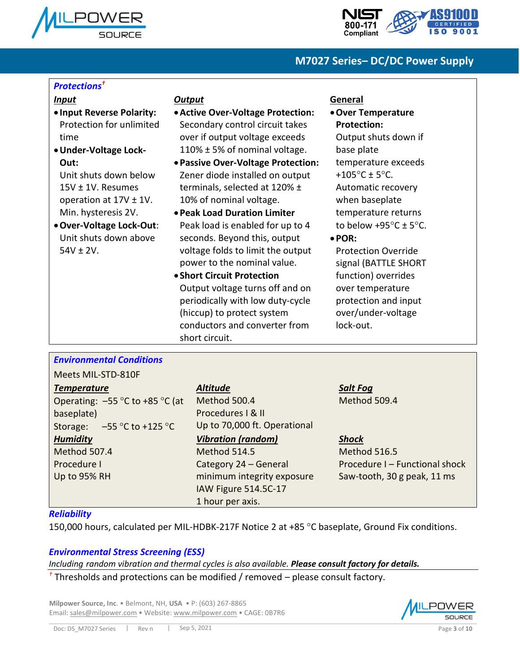



#### *Protections†*

#### *Input*

- **Input Reverse Polarity:** Protection for unlimited time
- •**Under-Voltage Lock-Out:**

Unit shuts down below 15V ± 1V. Resumes operation at 17V ± 1V. Min. hysteresis 2V.

•**Over-Voltage Lock-Out**: Unit shuts down above  $54V \pm 2V$ .

#### *Output*

- •**Active Over-Voltage Protection:** Secondary control circuit takes over if output voltage exceeds 110% ± 5% of nominal voltage.
- •**Passive Over-Voltage Protection:** Zener diode installed on output terminals, selected at 120% ± 10% of nominal voltage.
- •**Peak Load Duration Limiter** Peak load is enabled for up to 4 seconds. Beyond this, output voltage folds to limit the output power to the nominal value.
- **Short Circuit Protection** Output voltage turns off and on periodically with low duty-cycle (hiccup) to protect system conductors and converter from short circuit.

#### **General**

•**Over Temperature Protection:** Output shuts down if base plate temperature exceeds  $+105^{\circ}$ C ± 5°C. Automatic recovery

when baseplate temperature returns to below  $+95^{\circ}$ C  $\pm$  5°C.

•**POR:**

Protection Override signal (BATTLE SHORT function) overrides over temperature protection and input over/under-voltage lock-out.

#### *Environmental Conditions*

Meets MIL-STD-810F

## *Temperature* Operating:  $-55$  °C to +85 °C (at baseplate) Storage:  $-55^{\circ}$ C to +125 °C *Humidity* Method 507.4 Procedure I Up to 95% RH

#### *Altitude*

Method 500.4 Procedures I & II Up to 70,000 ft. Operational *Vibration (random)* Method 514.5 Category 24 – General minimum integrity exposure IAW Figure 514.5C-17 1 hour per axis.

#### *Salt Fog* Method 509.4

#### *Shock*

Method 516.5 Procedure I – Functional shock Saw-tooth, 30 g peak, 11 ms

#### *Reliability*

150,000 hours, calculated per MIL-HDBK-217F Notice 2 at +85 °C baseplate, Ground Fix conditions.

#### *Environmental Stress Screening (ESS)*

*Including random vibration and thermal cycles is also available. Please consult factory for details.*

*†* Thresholds and protections can be modified / removed – please consult factory.

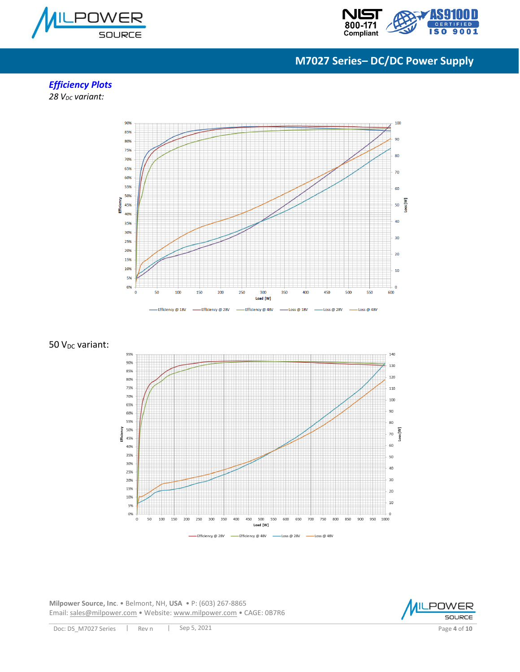



## *Efficiency Plots*

*28 VDC variant:*



50 V<sub>DC</sub> variant:



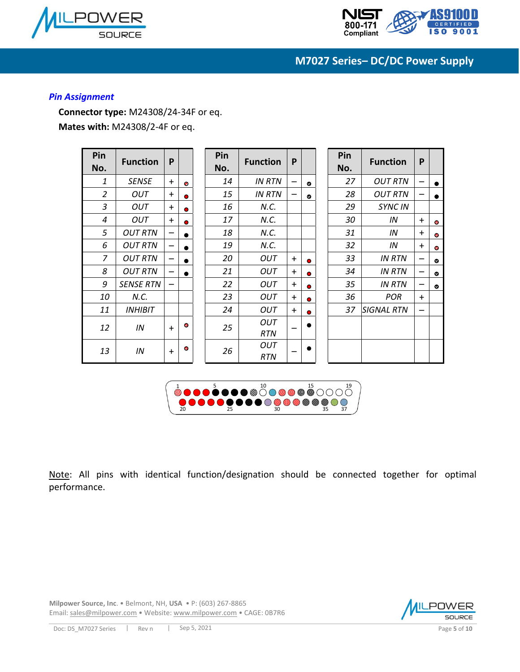



#### *Pin Assignment*

**Connector type:** M24308/24-34F or eq. **Mates with:** M24308/2-4F or eq.

| Pin<br>No.     | <b>Function</b>  | P               |           | Pin<br>No. | <b>Function</b>   | P         |           | Pin<br>No. | <b>Function</b>   | P   |           |
|----------------|------------------|-----------------|-----------|------------|-------------------|-----------|-----------|------------|-------------------|-----|-----------|
| 1              | <b>SENSE</b>     | $+$             | ٠         | 14         | <b>IN RTN</b>     |           | $\bullet$ | 27         | <b>OUT RTN</b>    |     | ●         |
| 2              | <b>OUT</b>       | $+$             | $\bullet$ | 15         | <b>IN RTN</b>     |           | $\bullet$ | 28         | <b>OUT RTN</b>    |     |           |
| $\overline{3}$ | OUT              | $+$             | ۰         | 16         | N.C.              |           |           | 29         | <b>SYNC IN</b>    |     |           |
| 4              | OUT              | $+$             | $\bullet$ | 17         | N.C.              |           |           | 30         | IN                | $+$ | ۰         |
| 5              | <b>OUT RTN</b>   |                 | $\bullet$ | 18         | N.C.              |           |           | 31         | IN                | $+$ | ۰         |
| 6              | <b>OUT RTN</b>   | $\qquad \qquad$ | $\bullet$ | 19         | N.C.              |           |           | 32         | IN                | $+$ | ۰         |
| $\overline{z}$ | <b>OUT RTN</b>   | $\qquad \qquad$ |           | 20         | <b>OUT</b>        | $+$       | 0         | 33         | <b>IN RTN</b>     |     | $\bullet$ |
| 8              | <b>OUT RTN</b>   |                 |           | 21         | <b>OUT</b>        | $+$       | $\bullet$ | 34         | <b>IN RTN</b>     |     | $\bullet$ |
| 9              | <b>SENSE RTN</b> | $\qquad \qquad$ |           | 22         | <b>OUT</b>        | $\ddot{}$ | $\bullet$ | 35         | <b>IN RTN</b>     |     | $\bullet$ |
| 10             | N.C.             |                 |           | 23         | <b>OUT</b>        | $+$       | $\bullet$ | 36         | <b>POR</b>        | $+$ |           |
| 11             | <b>INHIBIT</b>   |                 |           | 24         | <b>OUT</b>        | $+$       | $\bullet$ | 37         | <b>SIGNAL RTN</b> |     |           |
| 12             | IN               | $+$             | ۰         | 25         | OUT<br><b>RTN</b> |           | $\bullet$ |            |                   |     |           |
| 13             | IN               | $+$             | ۰         | 26         | OUT<br><b>RTN</b> |           | $\bullet$ |            |                   |     |           |



Note: All pins with identical function/designation should be connected together for optimal performance.

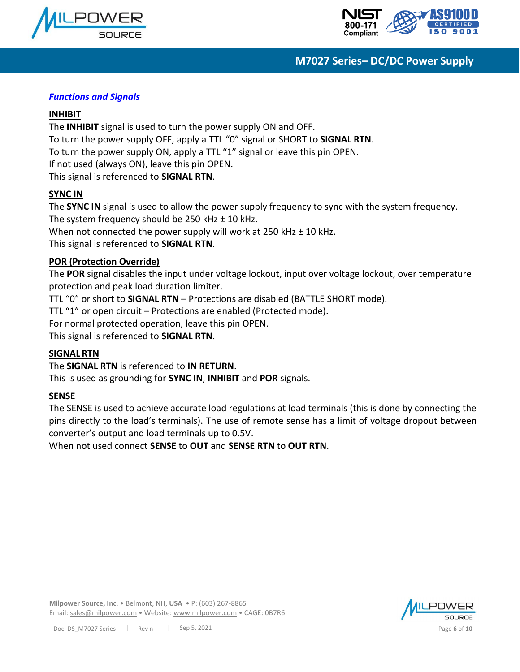



#### *Functions and Signals*

#### **INHIBIT**

The **INHIBIT** signal is used to turn the power supply ON and OFF. To turn the power supply OFF, apply a TTL "0" signal or SHORT to **SIGNAL RTN**. To turn the power supply ON, apply a TTL "1" signal or leave this pin OPEN. If not used (always ON), leave this pin OPEN. This signal is referenced to **SIGNAL RTN**.

#### **SYNC IN**

The **SYNC IN** signal is used to allow the power supply frequency to sync with the system frequency. The system frequency should be 250 kHz  $\pm$  10 kHz. When not connected the power supply will work at 250 kHz  $\pm$  10 kHz. This signal is referenced to **SIGNAL RTN**.

#### **POR (Protection Override)**

The **POR** signal disables the input under voltage lockout, input over voltage lockout, over temperature protection and peak load duration limiter.

TTL "0" or short to **SIGNAL RTN** – Protections are disabled (BATTLE SHORT mode).

TTL "1" or open circuit – Protections are enabled (Protected mode).

For normal protected operation, leave this pin OPEN.

This signal is referenced to **SIGNAL RTN**.

#### **SIGNAL RTN**

The **SIGNAL RTN** is referenced to **IN RETURN**.

This is used as grounding for **SYNC IN**, **INHIBIT** and **POR** signals.

#### **SENSE**

The SENSE is used to achieve accurate load regulations at load terminals (this is done by connecting the pins directly to the load's terminals). The use of remote sense has a limit of voltage dropout between converter's output and load terminals up to 0.5V.

When not used connect **SENSE** to **OUT** and **SENSE RTN** to **OUT RTN**.

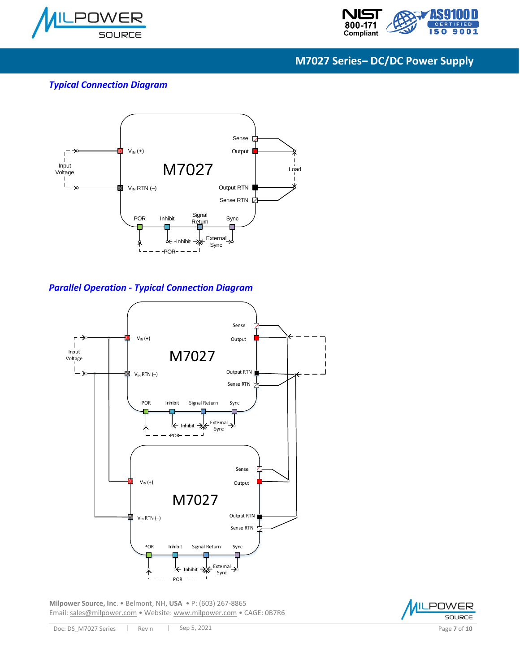



#### *Typical Connection Diagram*



#### *Parallel Operation - Typical Connection Diagram*



**Milpower Source, Inc**. • Belmont, NH, **USA** • P: (603) 267-8865 Email: [sales@milpower.com](mailto:sales@milpower.com) • Website[: www.milpower.com](http://www.milpower.com/) • CAGE: 0B7R6



POWER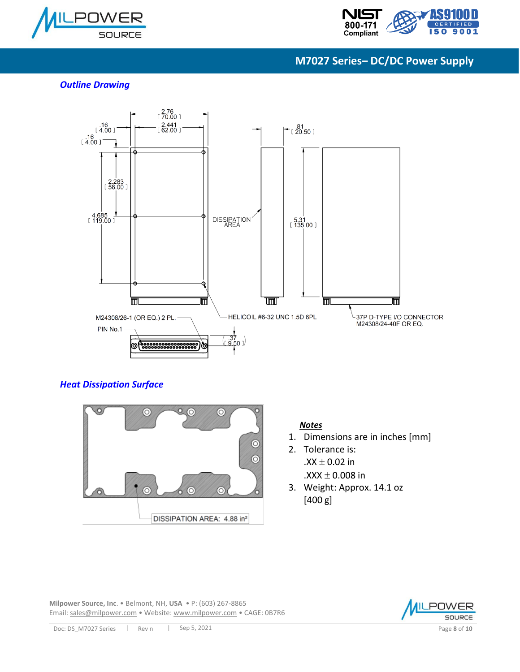



#### *Outline Drawing*



#### *Heat Dissipation Surface*



#### *Notes*

- 1. Dimensions are in inches [mm]
- 2. Tolerance is:  $.XX \pm 0.02$  in .XXX  $\pm$  0.008 in
- 3. Weight: Approx. 14.1 oz [400 g]

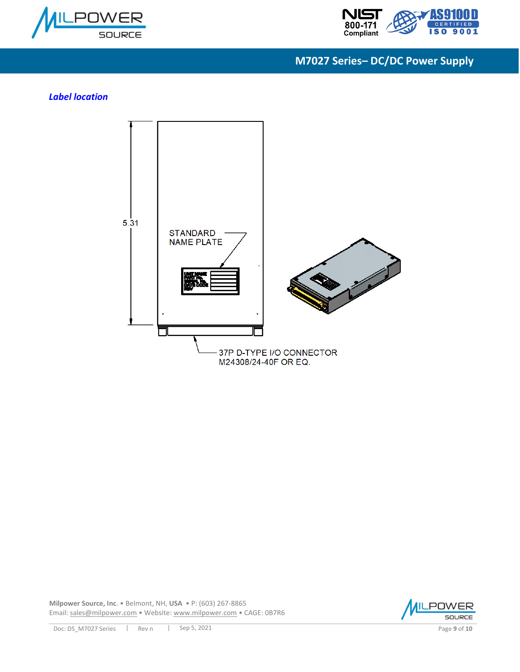



#### *Label location*